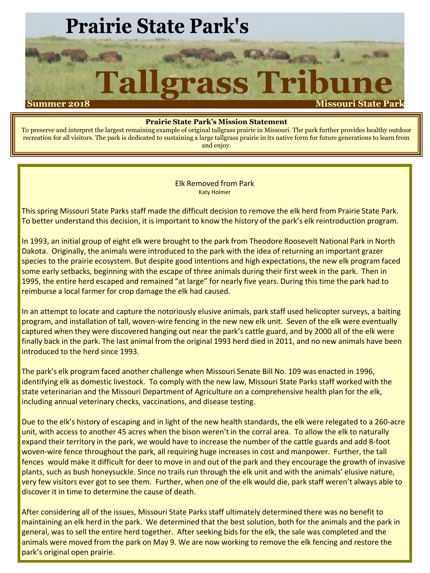# **Prairie State Park's**

# rass Tribun Tallg **Summer 2018 Missouri State Parks**

#### **Prairie State Park's Mission Statement**

To preserve and interpret the largest remaining example of original tallgrass prairie in Missouri. The park further provides healthy outdoor recreation for all visitors. The park is dedicated to sustaining a large tallgrass prairie in its native form for future generations to learn from and enjoy.

> Elk Removed from Park Katy Holmer

This spring Missouri State Parks staff made the difficult decision to remove the elk herd from Prairie State Park. To better understand this decision, it is important to know the history of the park's elk reintroduction program.

In 1993, an initial group of eight elk were brought to the park from Theodore Roosevelt National Park in North Dakota. Originally, the animals were introduced to the park with the idea of returning an important grazer species to the prairie ecosystem. But despite good intentions and high expectations, the new elk program faced some early setbacks, beginning with the escape of three animals during their first week in the park. Then in 1995, the entire herd escaped and remained "at large" for nearly five years. During this time the park had to reimburse a local farmer for crop damage the elk had caused.

In an attempt to locate and capture the notoriously elusive animals, park staff used helicopter surveys, a baiting program, and installation of tall, woven-wire fencing in the new new elk unit. Seven of the elk were eventually captured when they were discovered hanging out near the park's cattle guard, and by 2000 all of the elk were finally back in the park. The last animal from the original 1993 herd died in 2011, and no new animals have been introduced to the herd since 1993.

The park's elk program faced another challenge when Missouri Senate Bill No. 109 was enacted in 1996, identifying elk as domestic livestock. To comply with the new law, Missouri State Parks staff worked with the state veterinarian and the Missouri Department of Agriculture on a comprehensive health plan for the elk, including annual veterinary checks, vaccinations, and disease testing.

Due to the elk's history of escaping and in light of the new health standards, the elk were relegated to a 260-acre unit, with access to another 45 acres when the bison weren't in the corral area. To allow the elk to naturally expand their territory in the park, we would have to increase the number of the cattle guards and add 8-foot woven-wire fence throughout the park, all requiring huge increases in cost and manpower. Further, the tall fences would make it difficult for deer to move in and out of the park and they encourage the growth of invasive plants, such as bush honeysuckle. Since no trails run through the elk unit and with the animals' elusive nature, very few visitors ever got to see them. Further, when one of the elk would die, park staff weren't always able to discover it in time to determine the cause of death.

After considering all of the issues, Missouri State Parks staff ultimately determined there was no benefit to maintaining an elk herd in the park. We determined that the best solution, both for the animals and the park in general, was to sell the entire herd together. After seeking bids for the elk, the sale was completed and the animals were moved from the park on May 9. We are now working to remove the elk fencing and restore the park's original open prairie.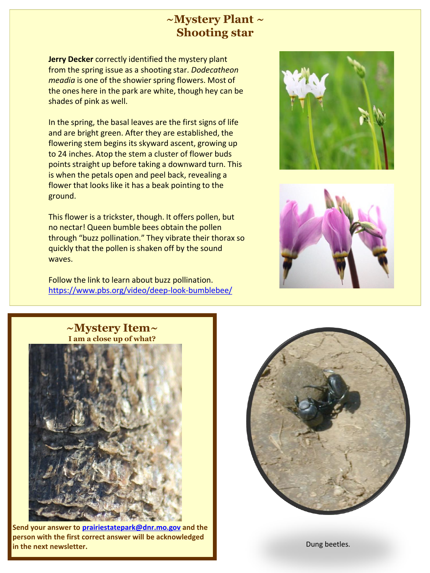## **~Mystery Plant ~ Shooting star**

**Jerry Decker** correctly identified the mystery plant from the spring issue as a shooting star. *Dodecatheon meadia* is one of the showier spring flowers. Most of the ones here in the park are white, though hey can be shades of pink as well.

In the spring, the basal leaves are the first signs of life and are bright green. After they are established, the flowering stem begins its skyward ascent, growing up to 24 inches. Atop the stem a cluster of flower buds points straight up before taking a downward turn. This is when the petals open and peel back, revealing a flower that looks like it has a beak pointing to the ground.

This flower is a trickster, though. It offers pollen, but no nectar! Queen bumble bees obtain the pollen through "buzz pollination." They vibrate their thorax so quickly that the pollen is shaken off by the sound waves.

Follow the link to learn about buzz pollination. <https://www.pbs.org/video/deep-look-bumblebee/>









**Send your answer to [prairiestatepark@dnr.mo.gov](mailto:prairiestatepark@dnr.mo.gov) and the person with the first correct answer will be acknowledged in the next newsletter.** Dung beetles.

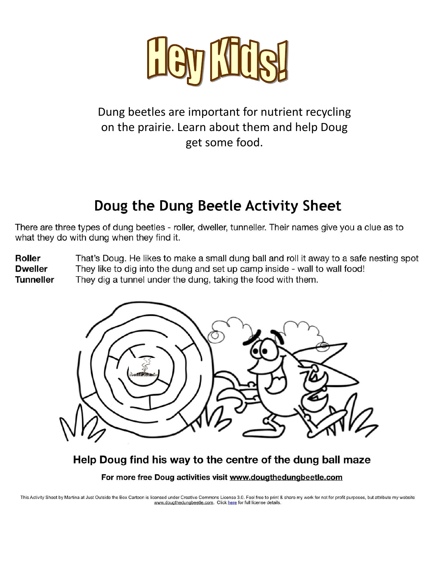

# Dung beetles are important for nutrient recycling on the prairie. Learn about them and help Doug get some food.

# Doug the Dung Beetle Activity Sheet

There are three types of dung beetles - roller, dweller, tunneller. Their names give you a clue as to what they do with dung when they find it.

**Roller** That's Doug. He likes to make a small dung ball and roll it away to a safe nesting spot **Dweller** They like to dig into the dung and set up camp inside - wall to wall food! **Tunneller** They dig a tunnel under the dung, taking the food with them.



Help Doug find his way to the centre of the dung ball maze

For more free Doug activities visit www.dougthedungbeetle.com

This Activity Sheet by Martina at Just Outside the Box Cartoon is licensed under Creative Commons License 3.0. Feel free to print & share my work for not for profit purposes, but attribute my website www.dougthedungbeetle.com. Click here for full license details.